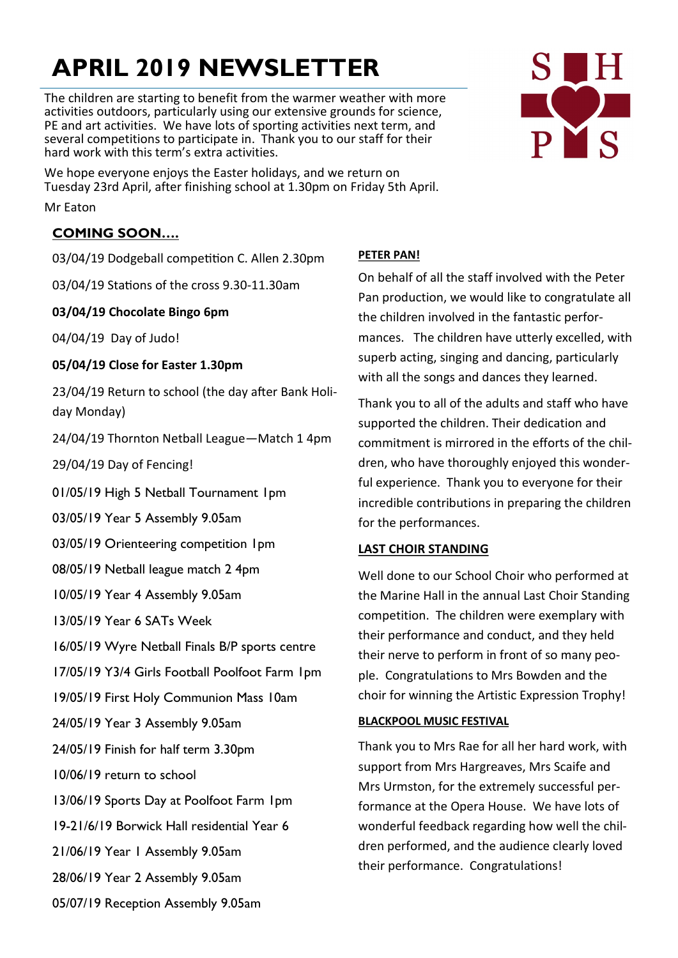# **APRIL 2019 NEWSLETTER**

The children are starting to benefit from the warmer weather with more activities outdoors, particularly using our extensive grounds for science, PE and art activities. We have lots of sporting activities next term, and several competitions to participate in. Thank you to our staff for their hard work with this term's extra activities.

We hope everyone enjoys the Easter holidays, and we return on Tuesday 23rd April, after finishing school at 1.30pm on Friday 5th April.

Mr Eaton

# **COMING SOON….**

03/04/19 Dodgeball competition C. Allen 2.30pm

03/04/19 Stations of the cross 9.30-11.30am

# **03/04/19 Chocolate Bingo 6pm**

04/04/19 Day of Judo!

# **05/04/19 Close for Easter 1.30pm**

23/04/19 Return to school (the day after Bank Holiday Monday)

24/04/19 Thornton Netball League—Match 1 4pm

29/04/19 Day of Fencing!

01/05/19 High 5 Netball Tournament 1pm

03/05/19 Year 5 Assembly 9.05am

03/05/19 Orienteering competition 1pm

08/05/19 Netball league match 2 4pm

10/05/19 Year 4 Assembly 9.05am

13/05/19 Year 6 SATs Week

16/05/19 Wyre Netball Finals B/P sports centre

17/05/19 Y3/4 Girls Football Poolfoot Farm 1pm

19/05/19 First Holy Communion Mass 10am

24/05/19 Year 3 Assembly 9.05am

24/05/19 Finish for half term 3.30pm

10/06/19 return to school

13/06/19 Sports Day at Poolfoot Farm 1pm

19-21/6/19 Borwick Hall residential Year 6

21/06/19 Year 1 Assembly 9.05am

28/06/19 Year 2 Assembly 9.05am

05/07/19 Reception Assembly 9.05am

# **PETER PAN!**

On behalf of all the staff involved with the Peter Pan production, we would like to congratulate all the children involved in the fantastic performances. The children have utterly excelled, with superb acting, singing and dancing, particularly with all the songs and dances they learned.

Thank you to all of the adults and staff who have supported the children. Their dedication and commitment is mirrored in the efforts of the children, who have thoroughly enjoyed this wonderful experience. Thank you to everyone for their incredible contributions in preparing the children for the performances.

# **LAST CHOIR STANDING**

Well done to our School Choir who performed at the Marine Hall in the annual Last Choir Standing competition. The children were exemplary with their performance and conduct, and they held their nerve to perform in front of so many people. Congratulations to Mrs Bowden and the choir for winning the Artistic Expression Trophy!

# **BLACKPOOL MUSIC FESTIVAL**

Thank you to Mrs Rae for all her hard work, with support from Mrs Hargreaves, Mrs Scaife and Mrs Urmston, for the extremely successful performance at the Opera House. We have lots of wonderful feedback regarding how well the children performed, and the audience clearly loved their performance. Congratulations!

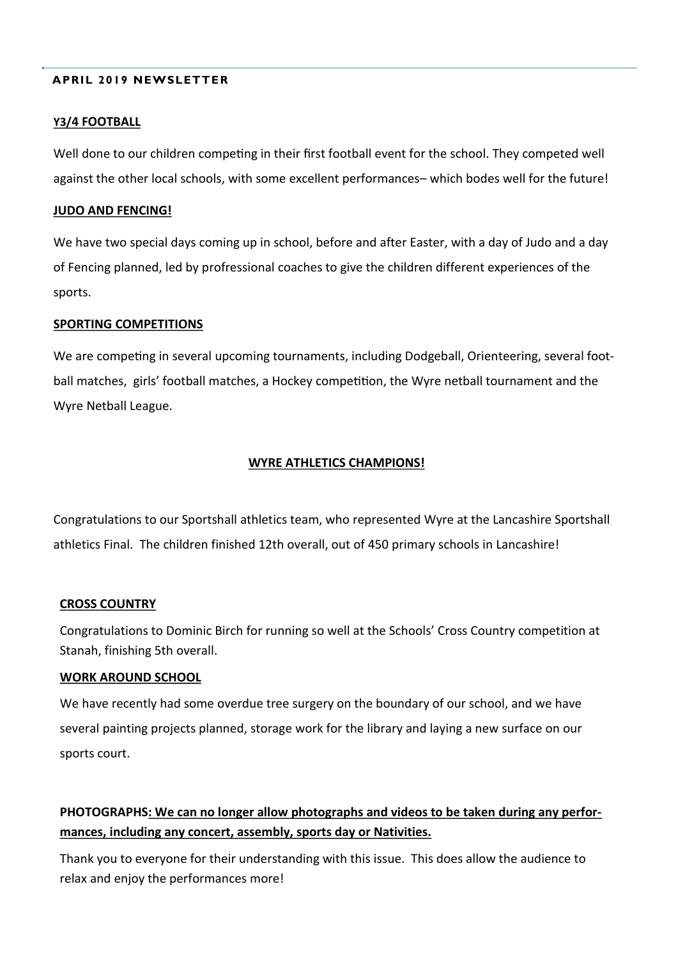### **APRIL 2019 NEWSLETTER**

### **Y3/4 FOOTBALL**

Well done to our children competing in their first football event for the school. They competed well against the other local schools, with some excellent performances– which bodes well for the future!

### **JUDO AND FENCING!**

We have two special days coming up in school, before and after Easter, with a day of Judo and a day of Fencing planned, led by profressional coaches to give the children different experiences of the sports.

### **SPORTING COMPETITIONS**

We are competing in several upcoming tournaments, including Dodgeball, Orienteering, several football matches, girls' football matches, a Hockey competition, the Wyre netball tournament and the Wyre Netball League.

### **WYRE ATHLETICS CHAMPIONS!**

Congratulations to our Sportshall athletics team, who represented Wyre at the Lancashire Sportshall athletics Final. The children finished 12th overall, out of 450 primary schools in Lancashire!

#### **CROSS COUNTRY**

Congratulations to Dominic Birch for running so well at the Schools' Cross Country competition at Stanah, finishing 5th overall.

### **WORK AROUND SCHOOL**

We have recently had some overdue tree surgery on the boundary of our school, and we have several painting projects planned, storage work for the library and laying a new surface on our sports court.

# **PHOTOGRAPHS: We can no longer allow photographs and videos to be taken during any performances, including any concert, assembly, sports day or Nativities.**

Thank you to everyone for their understanding with this issue. This does allow the audience to relax and enjoy the performances more!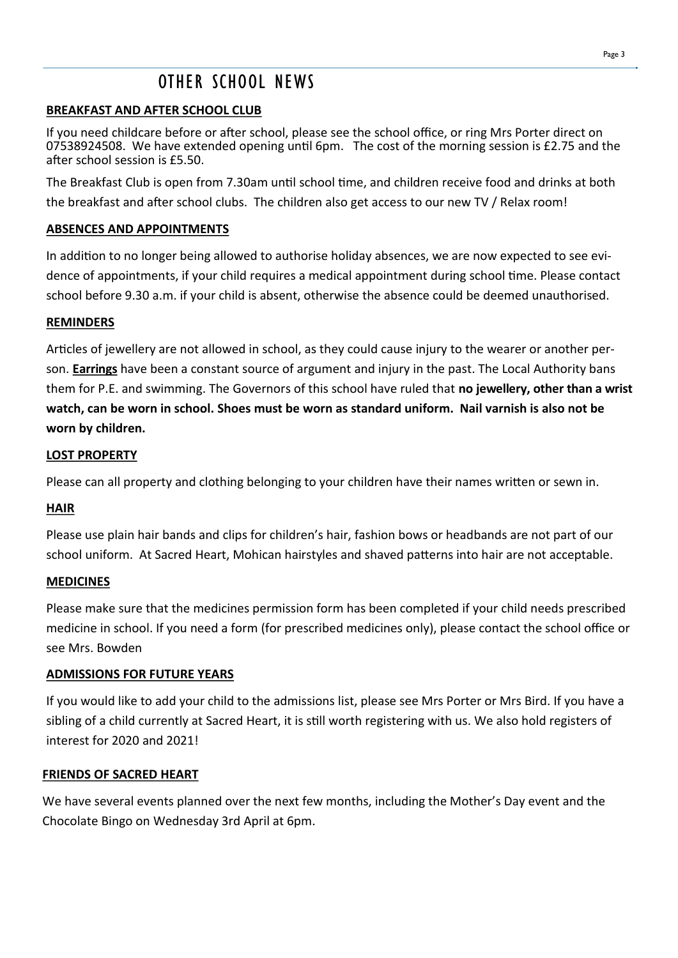# OTHER SCHOOL NEWS

# **BREAKFAST AND AFTER SCHOOL CLUB**

If you need childcare before or after school, please see the school office, or ring Mrs Porter direct on 07538924508. We have extended opening until 6pm. The cost of the morning session is £2.75 and the after school session is £5.50.

The Breakfast Club is open from 7.30am until school time, and children receive food and drinks at both the breakfast and after school clubs. The children also get access to our new TV / Relax room!

# **ABSENCES AND APPOINTMENTS**

In addition to no longer being allowed to authorise holiday absences, we are now expected to see evidence of appointments, if your child requires a medical appointment during school time. Please contact school before 9.30 a.m. if your child is absent, otherwise the absence could be deemed unauthorised.

# **REMINDERS**

Articles of jewellery are not allowed in school, as they could cause injury to the wearer or another person. **Earrings** have been a constant source of argument and injury in the past. The Local Authority bans them for P.E. and swimming. The Governors of this school have ruled that **no jewellery, other than a wrist watch, can be worn in school. Shoes must be worn as standard uniform. Nail varnish is also not be worn by children.**

# **LOST PROPERTY**

Please can all property and clothing belonging to your children have their names written or sewn in.

# **HAIR**

Please use plain hair bands and clips for children's hair, fashion bows or headbands are not part of our school uniform. At Sacred Heart, Mohican hairstyles and shaved patterns into hair are not acceptable.

# **MEDICINES**

Please make sure that the medicines permission form has been completed if your child needs prescribed medicine in school. If you need a form (for prescribed medicines only), please contact the school office or see Mrs. Bowden

# **ADMISSIONS FOR FUTURE YEARS**

If you would like to add your child to the admissions list, please see Mrs Porter or Mrs Bird. If you have a sibling of a child currently at Sacred Heart, it is still worth registering with us. We also hold registers of interest for 2020 and 2021!

### **FRIENDS OF SACRED HEART**

We have several events planned over the next few months, including the Mother's Day event and the Chocolate Bingo on Wednesday 3rd April at 6pm.